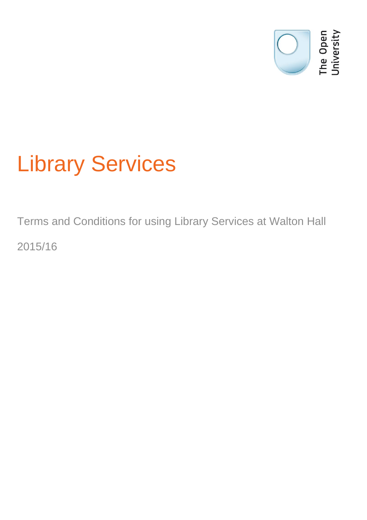

# Library Services

Terms and Conditions for using Library Services at Walton Hall 2015/16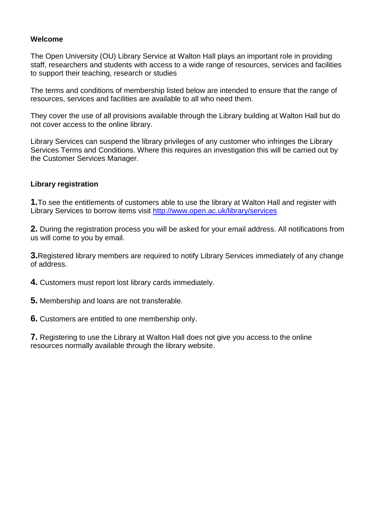### **Welcome**

The Open University (OU) Library Service at Walton Hall plays an important role in providing staff, researchers and students with access to a wide range of resources, services and facilities to support their teaching, research or studies

The terms and conditions of membership listed below are intended to ensure that the range of resources, services and facilities are available to all who need them.

They cover the use of all provisions available through the Library building at Walton Hall but do not cover access to the online library.

Library Services can suspend the library privileges of any customer who infringes the Library Services Terms and Conditions. Where this requires an investigation this will be carried out by the Customer Services Manager.

## **Library registration**

**1.**To see the entitlements of customers able to use the library at Walton Hall and register with Library Services to borrow items visit<http://www.open.ac.uk/library/services>

**2.** During the registration process you will be asked for your email address. All notifications from us will come to you by email.

**3.**Registered library members are required to notify Library Services immediately of any change of address.

**4.** Customers must report lost library cards immediately.

**5.** Membership and loans are not transferable.

**6.** Customers are entitled to one membership only.

**7.** Registering to use the Library at Walton Hall does not give you access to the online resources normally available through the library website.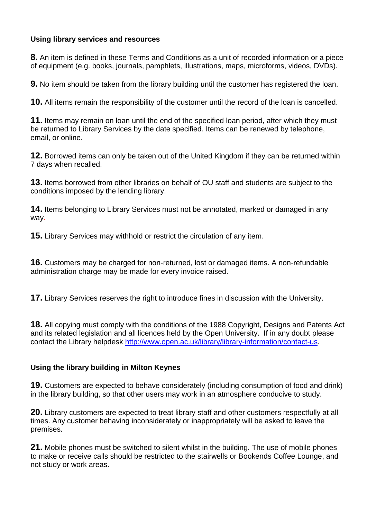## **Using library services and resources**

**8.** An item is defined in these Terms and Conditions as a unit of recorded information or a piece of equipment (e.g. books, journals, pamphlets, illustrations, maps, microforms, videos, DVDs).

**9.** No item should be taken from the library building until the customer has registered the loan.

**10.** All items remain the responsibility of the customer until the record of the loan is cancelled.

**11.** Items may remain on loan until the end of the specified loan period, after which they must be returned to Library Services by the date specified. Items can be renewed by telephone, email, or online.

**12.** Borrowed items can only be taken out of the United Kingdom if they can be returned within 7 days when recalled.

**13.** Items borrowed from other libraries on behalf of OU staff and students are subject to the conditions imposed by the lending library.

**14.** Items belonging to Library Services must not be annotated, marked or damaged in any way.

**15.** Library Services may withhold or restrict the circulation of any item.

**16.** Customers may be charged for non-returned, lost or damaged items. A non-refundable administration charge may be made for every invoice raised.

**17.** Library Services reserves the right to introduce fines in discussion with the University.

**18.** All copying must comply with the conditions of the 1988 Copyright, Designs and Patents Act and its related legislation and all licences held by the Open University. If in any doubt please contact the Library helpdesk [http://www.open.ac.uk/library/library-information/contact-us.](http://www.open.ac.uk/library/library-information/contact-us)

# **Using the library building in Milton Keynes**

**19.** Customers are expected to behave considerately (including consumption of food and drink) in the library building, so that other users may work in an atmosphere conducive to study.

**20.** Library customers are expected to treat library staff and other customers respectfully at all times. Any customer behaving inconsiderately or inappropriately will be asked to leave the premises.

**21.** Mobile phones must be switched to silent whilst in the building. The use of mobile phones to make or receive calls should be restricted to the stairwells or Bookends Coffee Lounge, and not study or work areas.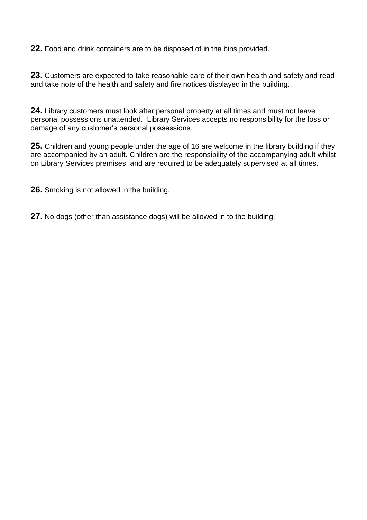**22.** Food and drink containers are to be disposed of in the bins provided.

**23.** Customers are expected to take reasonable care of their own health and safety and read and take note of the health and safety and fire notices displayed in the building.

**24.** Library customers must look after personal property at all times and must not leave personal possessions unattended. Library Services accepts no responsibility for the loss or damage of any customer's personal possessions.

**25.** Children and young people under the age of 16 are welcome in the library building if they are accompanied by an adult. Children are the responsibility of the accompanying adult whilst on Library Services premises, and are required to be adequately supervised at all times.

**26.** Smoking is not allowed in the building.

**27.** No dogs (other than assistance dogs) will be allowed in to the building.